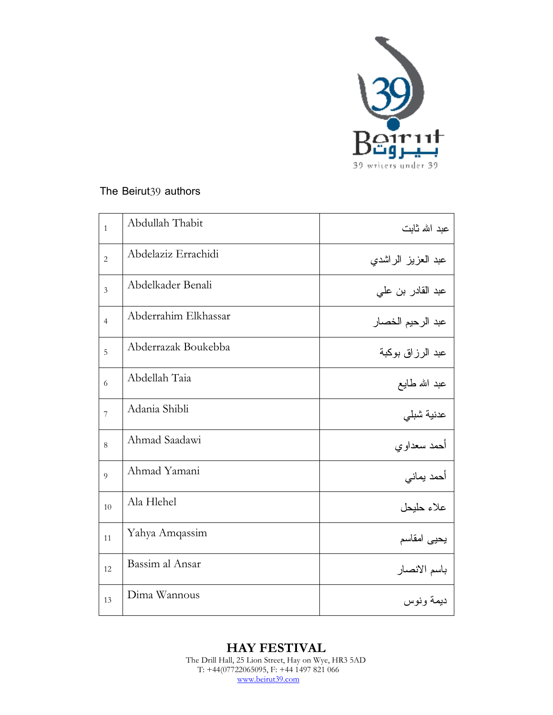

## The Beirut39 authors

| $\mathbf{1}$   | Abdullah Thabit      | عبد الله ثابت      |
|----------------|----------------------|--------------------|
| $\overline{2}$ | Abdelaziz Errachidi  | عبد العزيز الراشدي |
| $\overline{3}$ | Abdelkader Benali    | عبد القادر بن علي  |
| $\overline{4}$ | Abderrahim Elkhassar | عبد الرحيم الخصار  |
| 5              | Abderrazak Boukebba  | عبد الرزاق بوكبة   |
| 6              | Abdellah Taia        | عبد الله طايع      |
| $\overline{7}$ | Adania Shibli        | عدنية شبلي         |
| 8              | Ahmad Saadawi        | أحمد سعداوي        |
| 9              | Ahmad Yamani         | أحمد يماني         |
| 10             | Ala Hlehel           | علاء حلبحل         |
| 11             | Yahya Amqassim       | يحيى امقاسم        |
| 12             | Bassim al Ansar      | باسم الانصار       |
| 13             | Dima Wannous         | ديمة ونوس          |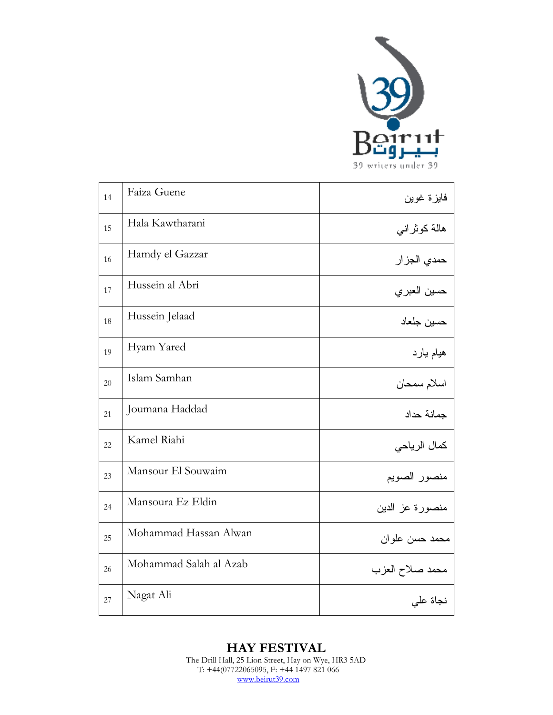

| 14 | Faiza Guene            | فايزة غوين      |
|----|------------------------|-----------------|
| 15 | Hala Kawtharani        | هالة كوثراني    |
| 16 | Hamdy el Gazzar        | حمدي الجز ار    |
| 17 | Hussein al Abri        | حسين العبري     |
| 18 | Hussein Jelaad         | حسين جلعاد      |
| 19 | Hyam Yared             | هيام يارد       |
| 20 | Islam Samhan           | اسلام سمحان     |
| 21 | Joumana Haddad         | جمانة حداد      |
| 22 | Kamel Riahi            | كمال الرياحي    |
| 23 | Mansour El Souwaim     | منصور الصويم    |
| 24 | Mansoura Ez Eldin      | منصورة عز الدين |
| 25 | Mohammad Hassan Alwan  | محمد حسن علو ان |
| 26 | Mohammad Salah al Azab | محمد صلاح العزب |
| 27 | Nagat Ali              | نجاة على        |

**HAY FESTIVAL**  The Drill Hall, 25 Lion Street, Hay on Wye, HR3 5AD T: +44(07722065095, F: +44 1497 821 066 www.beirut39.com